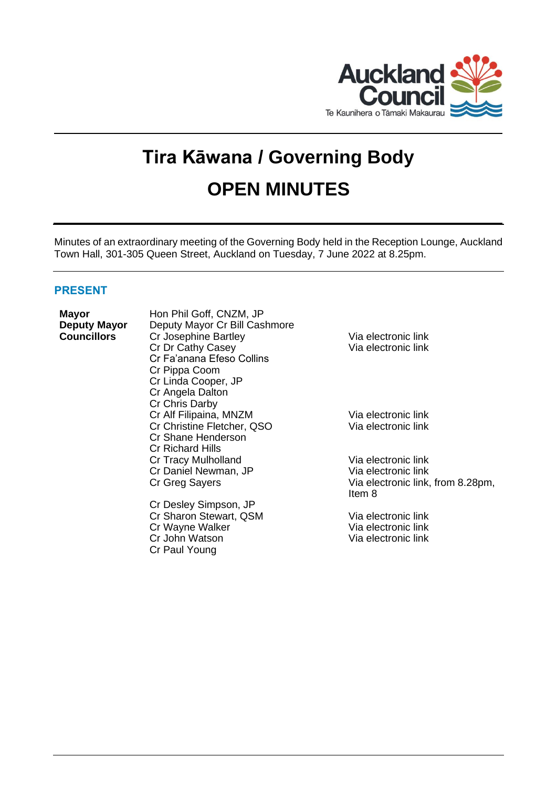

# **Tira Kāwana / Governing Body OPEN MINUTES**

Minutes of an extraordinary meeting of the Governing Body held in the Reception Lounge, Auckland Town Hall, 301-305 Queen Street, Auckland on Tuesday, 7 June 2022 at 8.25pm.

# **PRESENT**

| <b>Mayor</b><br><b>Deputy Mayor</b><br><b>Councillors</b> | Hon Phil Goff, CNZM, JP<br>Deputy Mayor Cr Bill Cashmore<br>Cr Josephine Bartley<br>Cr Dr Cathy Casey<br>Cr Fa'anana Efeso Collins<br>Cr Pippa Coom<br>Cr Linda Cooper, JP<br>Cr Angela Dalton<br>Cr Chris Darby | Via electronic link<br>Via electronic link                                                |
|-----------------------------------------------------------|------------------------------------------------------------------------------------------------------------------------------------------------------------------------------------------------------------------|-------------------------------------------------------------------------------------------|
|                                                           | Cr Alf Filipaina, MNZM<br>Cr Christine Fletcher, QSO<br>Cr Shane Henderson<br>Cr Richard Hills                                                                                                                   | Via electronic link<br>Via electronic link                                                |
|                                                           | Cr Tracy Mulholland<br>Cr Daniel Newman, JP<br>Cr Greg Sayers                                                                                                                                                    | Via electronic link<br>Via electronic link<br>Via electronic link, from 8.28pm,<br>Item 8 |
|                                                           | Cr Desley Simpson, JP<br>Cr Sharon Stewart, QSM<br>Cr Wayne Walker<br>Cr John Watson<br>Cr Paul Young                                                                                                            | Via electronic link<br>Via electronic link<br>Via electronic link                         |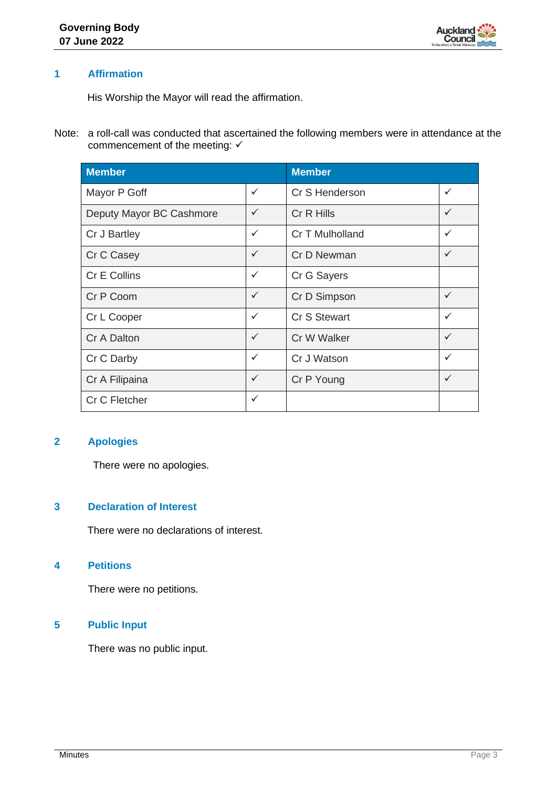

# **1 Affirmation**

His Worship the Mayor will read the affirmation.

Note: a roll-call was conducted that ascertained the following members were in attendance at the commencement of the meeting:  $√$ 

| <b>Member</b>            |              | <b>Member</b>       |              |
|--------------------------|--------------|---------------------|--------------|
| Mayor P Goff             | ✓            | Cr S Henderson      | $\checkmark$ |
| Deputy Mayor BC Cashmore | $\checkmark$ | Cr R Hills          | $\checkmark$ |
| Cr J Bartley             | ✓            | Cr T Mulholland     | $\checkmark$ |
| Cr C Casey               | $\checkmark$ | Cr D Newman         | $\checkmark$ |
| Cr E Collins             | ✓            | Cr G Sayers         |              |
| Cr P Coom                | $\checkmark$ | Cr D Simpson        | $\checkmark$ |
| Cr L Cooper              | ✓            | <b>Cr S Stewart</b> | $\checkmark$ |
| Cr A Dalton              | $\checkmark$ | Cr W Walker         | ✓            |
| Cr C Darby               | ✓            | Cr J Watson         | $\checkmark$ |
| Cr A Filipaina           | ✓            | Cr P Young          | $\checkmark$ |
| Cr C Fletcher            | ✓            |                     |              |

## **2 Apologies**

There were no apologies.

# **3 Declaration of Interest**

There were no declarations of interest.

### **4 Petitions**

There were no petitions.

# **5 Public Input**

There was no public input.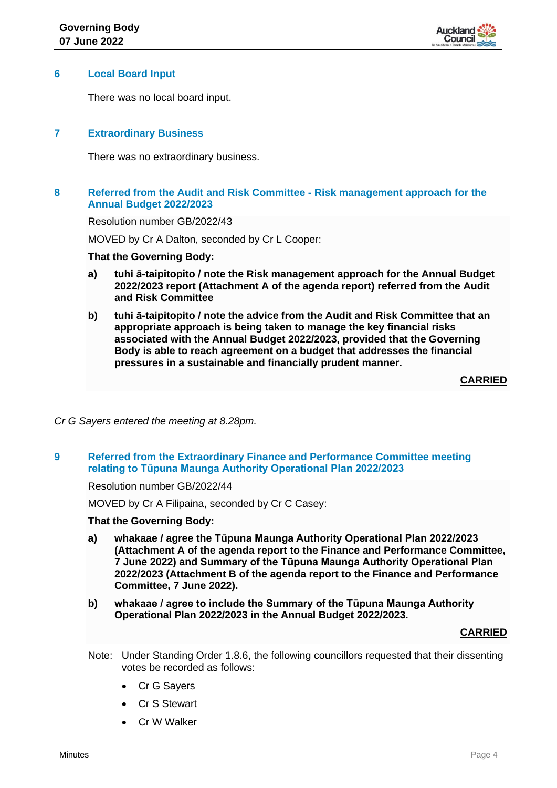

### **6 Local Board Input**

There was no local board input.

# **7 Extraordinary Business**

There was no extraordinary business.

# **8 Referred from the Audit and Risk Committee - Risk management approach for the Annual Budget 2022/2023**

Resolution number GB/2022/43

MOVED by Cr A Dalton, seconded by Cr L Cooper:

## **That the Governing Body:**

- **a) tuhi ā-taipitopito / note the Risk management approach for the Annual Budget 2022/2023 report (Attachment A of the agenda report) referred from the Audit and Risk Committee**
- **b) tuhi ā-taipitopito / note the advice from the Audit and Risk Committee that an appropriate approach is being taken to manage the key financial risks associated with the Annual Budget 2022/2023, provided that the Governing Body is able to reach agreement on a budget that addresses the financial pressures in a sustainable and financially prudent manner.**

**CARRIED**

*Cr G Sayers entered the meeting at 8.28pm.*

# **9 Referred from the Extraordinary Finance and Performance Committee meeting relating to Tūpuna Maunga Authority Operational Plan 2022/2023**

Resolution number GB/2022/44

MOVED by Cr A Filipaina, seconded by Cr C Casey:

# **That the Governing Body:**

- **a) whakaae / agree the Tūpuna Maunga Authority Operational Plan 2022/2023 (Attachment A of the agenda report to the Finance and Performance Committee, 7 June 2022) and Summary of the Tūpuna Maunga Authority Operational Plan 2022/2023 (Attachment B of the agenda report to the Finance and Performance Committee, 7 June 2022).**
- **b) whakaae / agree to include the Summary of the Tūpuna Maunga Authority Operational Plan 2022/2023 in the Annual Budget 2022/2023.**

#### **CARRIED**

- Note: Under Standing Order 1.8.6, the following councillors requested that their dissenting votes be recorded as follows:
	- **Cr G Savers**
	- Cr S Stewart
	- Cr W Walker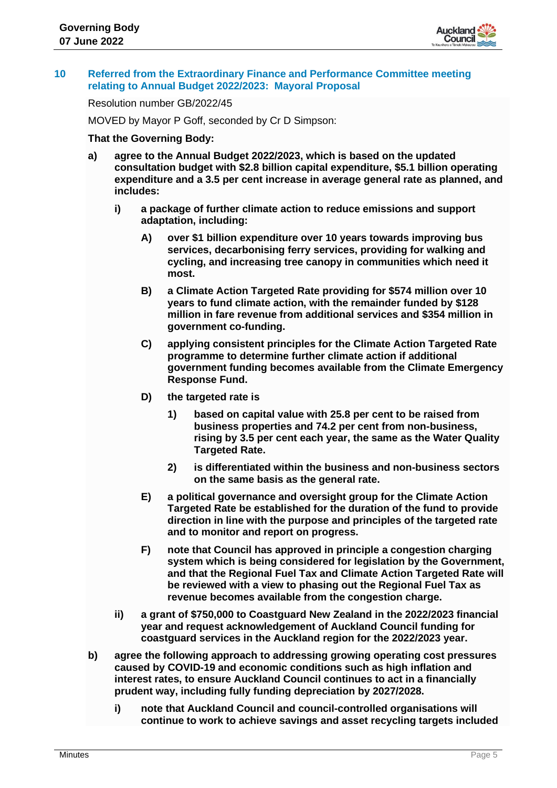

## **10 Referred from the Extraordinary Finance and Performance Committee meeting relating to Annual Budget 2022/2023: Mayoral Proposal**

Resolution number GB/2022/45

MOVED by Mayor P Goff, seconded by Cr D Simpson:

### **That the Governing Body:**

- **a) agree to the Annual Budget 2022/2023, which is based on the updated consultation budget with \$2.8 billion capital expenditure, \$5.1 billion operating expenditure and a 3.5 per cent increase in average general rate as planned, and includes:**
	- **i) a package of further climate action to reduce emissions and support adaptation, including:**
		- **A) over \$1 billion expenditure over 10 years towards improving bus services, decarbonising ferry services, providing for walking and cycling, and increasing tree canopy in communities which need it most.**
		- **B) a Climate Action Targeted Rate providing for \$574 million over 10 years to fund climate action, with the remainder funded by \$128 million in fare revenue from additional services and \$354 million in government co-funding.**
		- **C) applying consistent principles for the Climate Action Targeted Rate programme to determine further climate action if additional government funding becomes available from the Climate Emergency Response Fund.**
		- **D) the targeted rate is** 
			- **1) based on capital value with 25.8 per cent to be raised from business properties and 74.2 per cent from non-business, rising by 3.5 per cent each year, the same as the Water Quality Targeted Rate.**
			- **2) is differentiated within the business and non-business sectors on the same basis as the general rate.**
		- **E) a political governance and oversight group for the Climate Action Targeted Rate be established for the duration of the fund to provide direction in line with the purpose and principles of the targeted rate and to monitor and report on progress.**
		- **F) note that Council has approved in principle a congestion charging system which is being considered for legislation by the Government, and that the Regional Fuel Tax and Climate Action Targeted Rate will be reviewed with a view to phasing out the Regional Fuel Tax as revenue becomes available from the congestion charge.**
	- **ii) a grant of \$750,000 to Coastguard New Zealand in the 2022/2023 financial year and request acknowledgement of Auckland Council funding for coastguard services in the Auckland region for the 2022/2023 year.**
- **b) agree the following approach to addressing growing operating cost pressures caused by COVID-19 and economic conditions such as high inflation and interest rates, to ensure Auckland Council continues to act in a financially prudent way, including fully funding depreciation by 2027/2028.**
	- **i) note that Auckland Council and council-controlled organisations will continue to work to achieve savings and asset recycling targets included**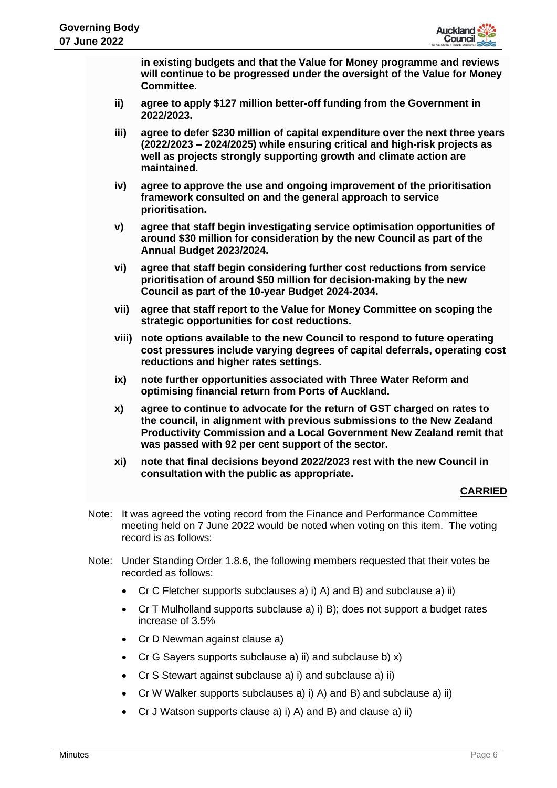

**in existing budgets and that the Value for Money programme and reviews will continue to be progressed under the oversight of the Value for Money Committee.**

- **ii) agree to apply \$127 million better-off funding from the Government in 2022/2023.**
- **iii) agree to defer \$230 million of capital expenditure over the next three years (2022/2023 – 2024/2025) while ensuring critical and high-risk projects as well as projects strongly supporting growth and climate action are maintained.**
- **iv) agree to approve the use and ongoing improvement of the prioritisation framework consulted on and the general approach to service prioritisation.**
- **v) agree that staff begin investigating service optimisation opportunities of around \$30 million for consideration by the new Council as part of the Annual Budget 2023/2024.**
- **vi) agree that staff begin considering further cost reductions from service prioritisation of around \$50 million for decision-making by the new Council as part of the 10-year Budget 2024-2034.**
- **vii) agree that staff report to the Value for Money Committee on scoping the strategic opportunities for cost reductions.**
- **viii) note options available to the new Council to respond to future operating cost pressures include varying degrees of capital deferrals, operating cost reductions and higher rates settings.**
- **ix) note further opportunities associated with Three Water Reform and optimising financial return from Ports of Auckland.**
- **x) agree to continue to advocate for the return of GST charged on rates to the council, in alignment with previous submissions to the New Zealand Productivity Commission and a Local Government New Zealand remit that was passed with 92 per cent support of the sector.**
- **xi) note that final decisions beyond 2022/2023 rest with the new Council in consultation with the public as appropriate.**

# **CARRIED**

- Note: It was agreed the voting record from the Finance and Performance Committee meeting held on 7 June 2022 would be noted when voting on this item. The voting record is as follows:
- Note: Under Standing Order 1.8.6, the following members requested that their votes be recorded as follows:
	- Cr C Fletcher supports subclauses a) i) A) and B) and subclause a) ii)
	- Cr T Mulholland supports subclause a) i) B); does not support a budget rates increase of 3.5%
	- Cr D Newman against clause a)
	- Cr G Sayers supports subclause a) ii) and subclause b)  $x$ )
	- Cr S Stewart against subclause a) i) and subclause a) ii)
	- Cr W Walker supports subclauses a) i) A) and B) and subclause a) ii)
	- Cr J Watson supports clause a) i) A) and B) and clause a) ii)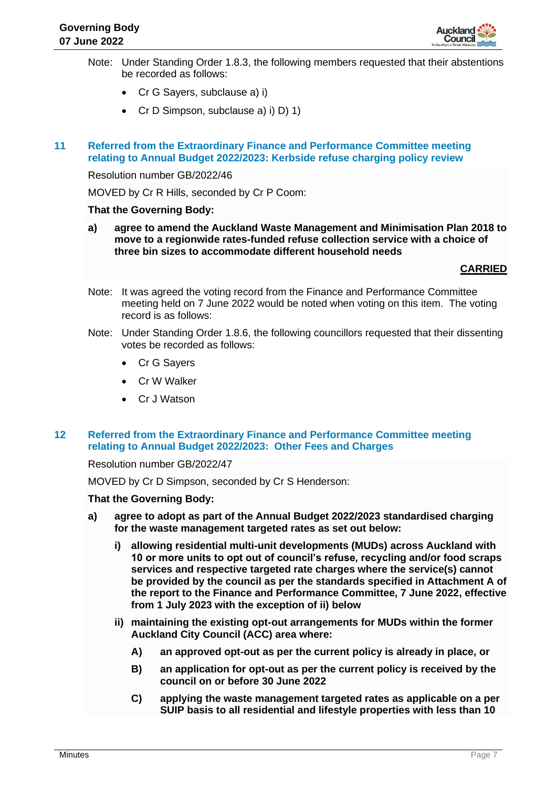

- Note: Under Standing Order 1.8.3, the following members requested that their abstentions be recorded as follows:
	- Cr G Sayers, subclause a) i)
	- Cr D Simpson, subclause a) i) D) 1)
- **11 Referred from the Extraordinary Finance and Performance Committee meeting relating to Annual Budget 2022/2023: Kerbside refuse charging policy review**

Resolution number GB/2022/46

MOVED by Cr R Hills, seconded by Cr P Coom:

#### **That the Governing Body:**

**a) agree to amend the Auckland Waste Management and Minimisation Plan 2018 to move to a regionwide rates-funded refuse collection service with a choice of three bin sizes to accommodate different household needs**

## **CARRIED**

- Note: It was agreed the voting record from the Finance and Performance Committee meeting held on 7 June 2022 would be noted when voting on this item. The voting record is as follows:
- Note: Under Standing Order 1.8.6, the following councillors requested that their dissenting votes be recorded as follows:
	- Cr G Sayers
	- Cr W Walker
	- Cr J Watson

## **12 Referred from the Extraordinary Finance and Performance Committee meeting relating to Annual Budget 2022/2023: Other Fees and Charges**

Resolution number GB/2022/47

MOVED by Cr D Simpson, seconded by Cr S Henderson:

#### **That the Governing Body:**

- **a) agree to adopt as part of the Annual Budget 2022/2023 standardised charging for the waste management targeted rates as set out below:**
	- **i) allowing residential multi-unit developments (MUDs) across Auckland with 10 or more units to opt out of council's refuse, recycling and/or food scraps services and respective targeted rate charges where the service(s) cannot be provided by the council as per the standards specified in Attachment A of the report to the Finance and Performance Committee, 7 June 2022, effective from 1 July 2023 with the exception of ii) below**
	- **ii) maintaining the existing opt-out arrangements for MUDs within the former Auckland City Council (ACC) area where:**
		- **A) an approved opt-out as per the current policy is already in place, or**
		- **B) an application for opt-out as per the current policy is received by the council on or before 30 June 2022**
		- **C) applying the waste management targeted rates as applicable on a per SUIP basis to all residential and lifestyle properties with less than 10**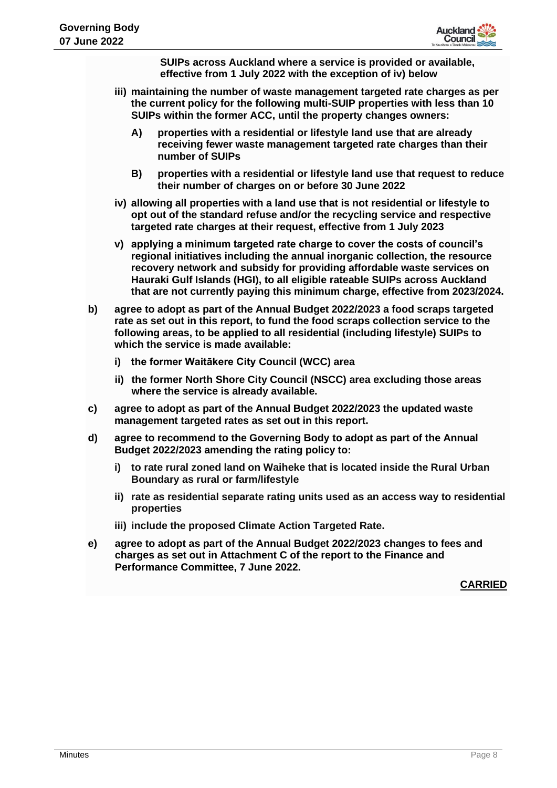

**SUIPs across Auckland where a service is provided or available, effective from 1 July 2022 with the exception of iv) below**

- **iii) maintaining the number of waste management targeted rate charges as per the current policy for the following multi-SUIP properties with less than 10 SUIPs within the former ACC, until the property changes owners:**
	- **A) properties with a residential or lifestyle land use that are already receiving fewer waste management targeted rate charges than their number of SUIPs**
	- **B) properties with a residential or lifestyle land use that request to reduce their number of charges on or before 30 June 2022**
- **iv) allowing all properties with a land use that is not residential or lifestyle to opt out of the standard refuse and/or the recycling service and respective targeted rate charges at their request, effective from 1 July 2023**
- **v) applying a minimum targeted rate charge to cover the costs of council's regional initiatives including the annual inorganic collection, the resource recovery network and subsidy for providing affordable waste services on Hauraki Gulf Islands (HGI), to all eligible rateable SUIPs across Auckland that are not currently paying this minimum charge, effective from 2023/2024.**
- **b) agree to adopt as part of the Annual Budget 2022/2023 a food scraps targeted rate as set out in this report, to fund the food scraps collection service to the following areas, to be applied to all residential (including lifestyle) SUIPs to which the service is made available:**
	- **i) the former Waitākere City Council (WCC) area**
	- **ii) the former North Shore City Council (NSCC) area excluding those areas where the service is already available.**
- **c) agree to adopt as part of the Annual Budget 2022/2023 the updated waste management targeted rates as set out in this report.**
- **d) agree to recommend to the Governing Body to adopt as part of the Annual Budget 2022/2023 amending the rating policy to:**
	- **i) to rate rural zoned land on Waiheke that is located inside the Rural Urban Boundary as rural or farm/lifestyle**
	- **ii) rate as residential separate rating units used as an access way to residential properties**
	- **iii) include the proposed Climate Action Targeted Rate.**
- **e) agree to adopt as part of the Annual Budget 2022/2023 changes to fees and charges as set out in Attachment C of the report to the Finance and Performance Committee, 7 June 2022.**

**CARRIED**